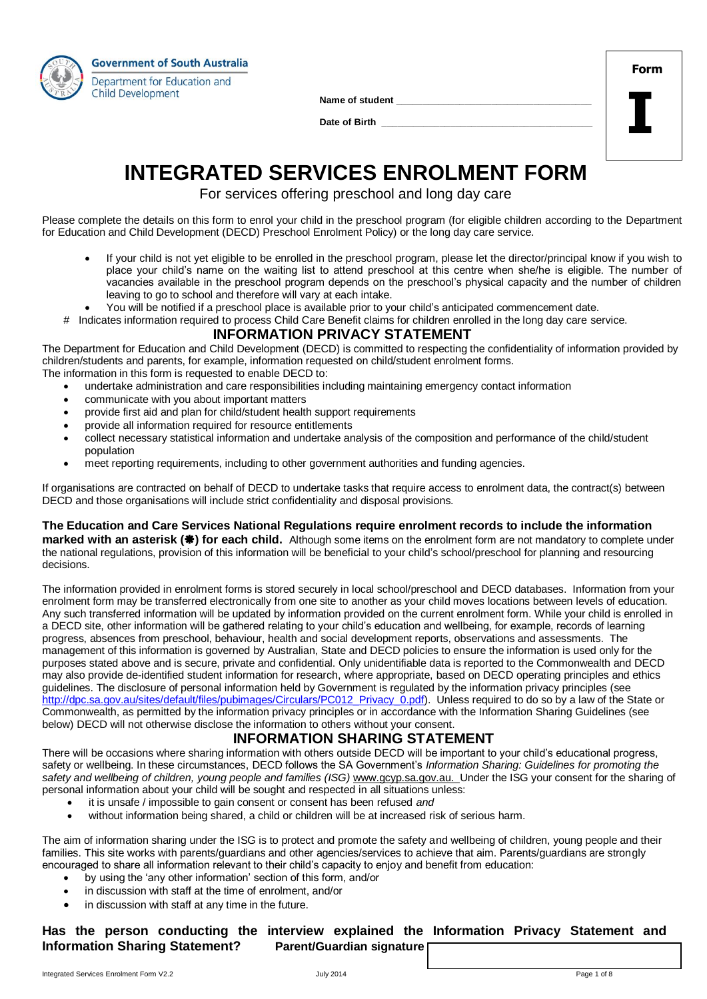

Name of student

Date of Birth \_\_\_\_

| Form |  |
|------|--|
|      |  |
|      |  |

# **INTEGRATED SERVICES ENROLMENT FORM**

For services offering preschool and long day care

Please complete the details on this form to enrol your child in the preschool program (for eligible children according to the Department for Education and Child Development (DECD) Preschool Enrolment Policy) or the long day care service.

- If your child is not yet eligible to be enrolled in the preschool program, please let the director/principal know if you wish to place your child's name on the waiting list to attend preschool at this centre when she/he is eligible. The number of vacancies available in the preschool program depends on the preschool's physical capacity and the number of children leaving to go to school and therefore will vary at each intake.
- You will be notified if a preschool place is available prior to your child's anticipated commencement date.
- # Indicates information required to process Child Care Benefit claims for children enrolled in the long day care service.

### **INFORMATION PRIVACY STATEMENT**

The Department for Education and Child Development (DECD) is committed to respecting the confidentiality of information provided by children/students and parents, for example, information requested on child/student enrolment forms. The information in this form is requested to enable DECD to:

- undertake administration and care responsibilities including maintaining emergency contact information
- communicate with you about important matters
- provide first aid and plan for child/student health support requirements
- provide all information required for resource entitlements
- collect necessary statistical information and undertake analysis of the composition and performance of the child/student population
- meet reporting requirements, including to other government authorities and funding agencies.

If organisations are contracted on behalf of DECD to undertake tasks that require access to enrolment data, the contract(s) between DECD and those organisations will include strict confidentiality and disposal provisions.

#### **The Education and Care Services National Regulations require enrolment records to include the information**

**marked with an asterisk (** $\clubsuit$ **) for each child.** Although some items on the enrolment form are not mandatory to complete under the national regulations, provision of this information will be beneficial to your child's school/preschool for planning and resourcing decisions.

The information provided in enrolment forms is stored securely in local school/preschool and DECD databases. Information from your enrolment form may be transferred electronically from one site to another as your child moves locations between levels of education. Any such transferred information will be updated by information provided on the current enrolment form. While your child is enrolled in a DECD site, other information will be gathered relating to your child's education and wellbeing, for example, records of learning progress, absences from preschool, behaviour, health and social development reports, observations and assessments. The management of this information is governed by Australian, State and DECD policies to ensure the information is used only for the purposes stated above and is secure, private and confidential. Only unidentifiable data is reported to the Commonwealth and DECD may also provide de-identified student information for research, where appropriate, based on DECD operating principles and ethics guidelines. The disclosure of personal information held by Government is regulated by the information privacy principles (see [http://dpc.sa.gov.au/sites/default/files/pubimages/Circulars/PC012\\_Privacy\\_0.pdf\)](http://dpc.sa.gov.au/sites/default/files/pubimages/Circulars/PC012_Privacy_0.pdf). Unless required to do so by a law of the State or Commonwealth, as permitted by the information privacy principles or in accordance with the Information Sharing Guidelines (see below) DECD will not otherwise disclose the information to others without your consent.

# **INFORMATION SHARING STATEMENT**

There will be occasions where sharing information with others outside DECD will be important to your child's educational progress, safety or wellbeing. In these circumstances, DECD follows the SA Government's *Information Sharing: Guidelines for promoting the safety and wellbeing of children, young people and families (ISG)* [www.gcyp.sa.gov.au.](http://www.gcyp.sa.gov.au/) Under the ISG your consent for the sharing of personal information about your child will be sought and respected in all situations unless:

- it is unsafe / impossible to gain consent or consent has been refused *and*
- without information being shared, a child or children will be at increased risk of serious harm.

The aim of information sharing under the ISG is to protect and promote the safety and wellbeing of children, young people and their families. This site works with parents/guardians and other agencies/services to achieve that aim. Parents/guardians are strongly encouraged to share all information relevant to their child's capacity to enjoy and benefit from education:

- by using the 'any other information' section of this form, and/or
- in discussion with staff at the time of enrolment, and/or
- in discussion with staff at any time in the future.

## **Has the person conducting the interview explained the Information Privacy Statement and Information Sharing Statement? Parent/Guardian signature**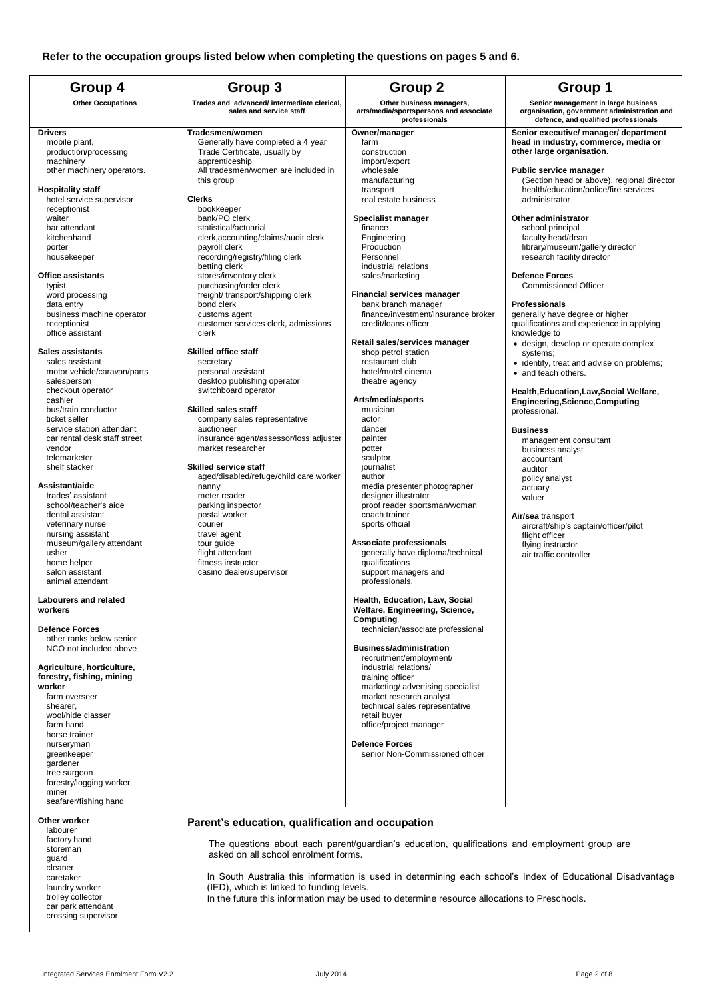|                                                                                                                                                                                                                                                                                                                                                                                                                                                                                                                      | Group 4<br>Group 3<br>Group <sub>2</sub>                                                                                                                                                                                                                                                                                                                                                                                                                                                                                          |                                                                                                                                                                                                                                                                                                                                                                                                                                                                                     | Group 1                                                                                                                                                                                                                                                                                                                                                                                                                                                                                                                                |
|----------------------------------------------------------------------------------------------------------------------------------------------------------------------------------------------------------------------------------------------------------------------------------------------------------------------------------------------------------------------------------------------------------------------------------------------------------------------------------------------------------------------|-----------------------------------------------------------------------------------------------------------------------------------------------------------------------------------------------------------------------------------------------------------------------------------------------------------------------------------------------------------------------------------------------------------------------------------------------------------------------------------------------------------------------------------|-------------------------------------------------------------------------------------------------------------------------------------------------------------------------------------------------------------------------------------------------------------------------------------------------------------------------------------------------------------------------------------------------------------------------------------------------------------------------------------|----------------------------------------------------------------------------------------------------------------------------------------------------------------------------------------------------------------------------------------------------------------------------------------------------------------------------------------------------------------------------------------------------------------------------------------------------------------------------------------------------------------------------------------|
| <b>Other Occupations</b>                                                                                                                                                                                                                                                                                                                                                                                                                                                                                             | Trades and advanced/ intermediate clerical,<br>sales and service staff                                                                                                                                                                                                                                                                                                                                                                                                                                                            | Other business managers,<br>arts/media/sportspersons and associate<br>professionals                                                                                                                                                                                                                                                                                                                                                                                                 | Senior management in large business<br>organisation, government administration and<br>defence, and qualified professionals                                                                                                                                                                                                                                                                                                                                                                                                             |
| <b>Drivers</b><br>mobile plant,<br>production/processing<br>machinery<br>other machinery operators.<br><b>Hospitality staff</b><br>hotel service supervisor<br>receptionist<br>waiter<br>bar attendant<br>kitchenhand<br>porter<br>housekeeper<br><b>Office assistants</b><br>typist<br>word processing<br>data entry<br>business machine operator<br>receptionist                                                                                                                                                   | Tradesmen/women<br>Generally have completed a 4 year<br>Trade Certificate, usually by<br>apprenticeship<br>All tradesmen/women are included in<br>this group<br><b>Clerks</b><br>bookkeeper<br>bank/PO clerk<br>statistical/actuarial<br>clerk, accounting/claims/audit clerk<br>payroll clerk<br>recording/registry/filing clerk<br>betting clerk<br>stores/inventory clerk<br>purchasing/order clerk<br>freight/ transport/shipping clerk<br>bond clerk<br>customs agent<br>customer services clerk, admissions                 | Owner/manager<br>farm<br>construction<br>import/export<br>wholesale<br>manufacturing<br>transport<br>real estate business<br>Specialist manager<br>finance<br>Engineering<br>Production<br>Personnel<br>industrial relations<br>sales/marketing<br><b>Financial services manager</b><br>bank branch manager<br>finance/investment/insurance broker<br>credit/loans officer                                                                                                          | Senior executive/ manager/ department<br>head in industry, commerce, media or<br>other large organisation.<br>Public service manager<br>(Section head or above), regional director<br>health/education/police/fire services<br>administrator<br>Other administrator<br>school principal<br>faculty head/dean<br>library/museum/gallery director<br>research facility director<br><b>Defence Forces</b><br><b>Commissioned Officer</b><br>Professionals<br>generally have degree or higher<br>qualifications and experience in applying |
| office assistant<br><b>Sales assistants</b><br>sales assistant<br>motor vehicle/caravan/parts<br>salesperson<br>checkout operator<br>cashier<br>bus/train conductor<br>ticket seller<br>service station attendant<br>car rental desk staff street<br>vendor<br>telemarketer<br>shelf stacker<br>Assistant/aide<br>trades' assistant<br>school/teacher's aide<br>dental assistant<br>veterinary nurse<br>nursing assistant<br>museum/gallery attendant<br>usher<br>home helper<br>salon assistant<br>animal attendant | clerk<br><b>Skilled office staff</b><br>secretary<br>personal assistant<br>desktop publishing operator<br>switchboard operator<br><b>Skilled sales staff</b><br>company sales representative<br>auctioneer<br>insurance agent/assessor/loss adjuster<br>market researcher<br><b>Skilled service staff</b><br>aged/disabled/refuge/child care worker<br>nanny<br>meter reader<br>parking inspector<br>postal worker<br>courier<br>travel agent<br>tour guide<br>flight attendant<br>fitness instructor<br>casino dealer/supervisor | Retail sales/services manager<br>shop petrol station<br>restaurant club<br>hotel/motel cinema<br>theatre agency<br>Arts/media/sports<br>musician<br>actor<br>dancer<br>painter<br>potter<br>sculptor<br>journalist<br>author<br>media presenter photographer<br>designer illustrator<br>proof reader sportsman/woman<br>coach trainer<br>sports official<br>Associate professionals<br>generally have diploma/technical<br>qualifications<br>support managers and<br>professionals. | knowledge to<br>· design, develop or operate complex<br>systems;<br>• identify, treat and advise on problems;<br>• and teach others.<br>Health, Education, Law, Social Welfare,<br><b>Engineering, Science, Computing</b><br>professional.<br><b>Business</b><br>management consultant<br>business analyst<br>accountant<br>auditor<br>policy analyst<br>actuary<br>valuer<br>Air/sea transport<br>aircraft/ship's captain/officer/pilot<br>flight officer<br>flying instructor<br>air traffic controller                              |
| <b>Labourers and related</b><br>workers<br><b>Defence Forces</b><br>other ranks below senior<br>NCO not included above<br>Agriculture, horticulture,<br>forestry, fishing, mining<br>worker<br>farm overseer<br>shearer,<br>wool/hide classer<br>farm hand<br>horse trainer<br>nurseryman<br>greenkeeper<br>gardener<br>tree surgeon<br>forestry/logging worker<br>miner<br>seafarer/fishing hand                                                                                                                    |                                                                                                                                                                                                                                                                                                                                                                                                                                                                                                                                   | Health, Education, Law, Social<br>Welfare, Engineering, Science,<br>Computing<br>technician/associate professional<br><b>Business/administration</b><br>recruitment/employment/<br>industrial relations/<br>training officer<br>marketing/advertising specialist<br>market research analyst<br>technical sales representative<br>retail buyer<br>office/project manager<br><b>Defence Forces</b><br>senior Non-Commissioned officer                                                 |                                                                                                                                                                                                                                                                                                                                                                                                                                                                                                                                        |
| Other worker<br>labourer<br>factory hand<br>storeman<br>guard<br>cleaner                                                                                                                                                                                                                                                                                                                                                                                                                                             | Parent's education, qualification and occupation<br>asked on all school enrolment forms.                                                                                                                                                                                                                                                                                                                                                                                                                                          | The questions about each parent/guardian's education, qualifications and employment group are                                                                                                                                                                                                                                                                                                                                                                                       |                                                                                                                                                                                                                                                                                                                                                                                                                                                                                                                                        |

In South Australia this information is used in determining each school's Index of Educational Disadvantage (IED), which is linked to funding levels.

In the future this information may be used to determine resource allocations to Preschools.

caretaker laundry worker trolley collector car park attendant crossing supervisor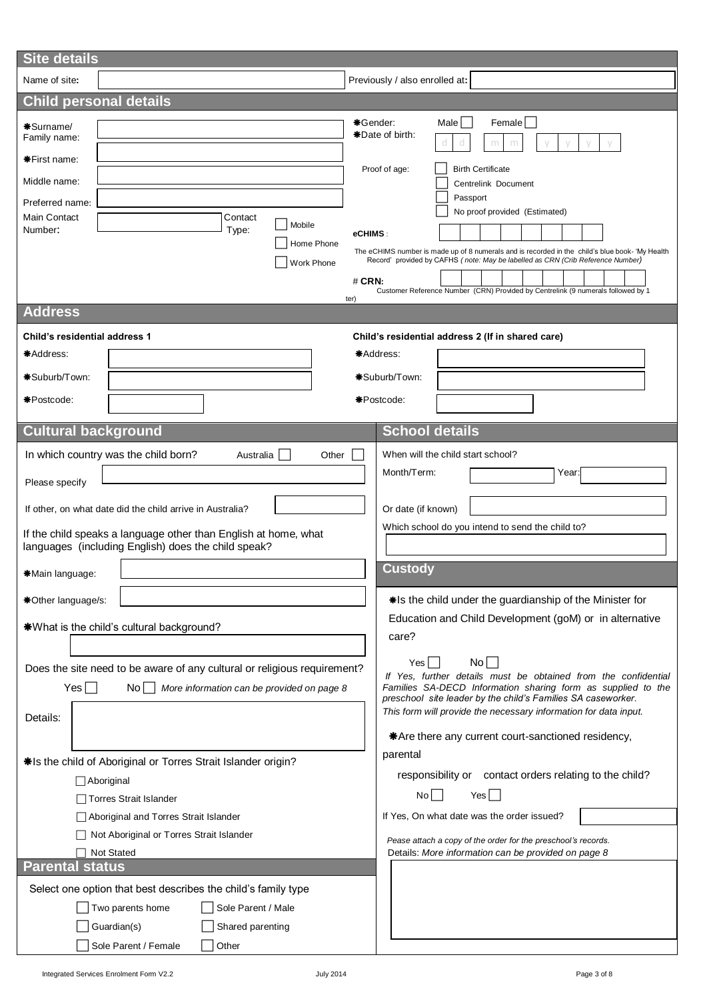| <b>Site details</b>                                                                                                                                                                                          |                                                                                                                                                                                                                                                                                                                                        |  |  |  |  |  |
|--------------------------------------------------------------------------------------------------------------------------------------------------------------------------------------------------------------|----------------------------------------------------------------------------------------------------------------------------------------------------------------------------------------------------------------------------------------------------------------------------------------------------------------------------------------|--|--|--|--|--|
| Name of site:                                                                                                                                                                                                | Previously / also enrolled at:                                                                                                                                                                                                                                                                                                         |  |  |  |  |  |
| <b>Child personal details</b>                                                                                                                                                                                |                                                                                                                                                                                                                                                                                                                                        |  |  |  |  |  |
| *Surname/<br>Family name:                                                                                                                                                                                    | *Gender:<br>Male  <br>Female<br>*Date of birth:<br>m                                                                                                                                                                                                                                                                                   |  |  |  |  |  |
| <b>*First name:</b><br>Middle name:<br>Preferred name:                                                                                                                                                       | Proof of age:<br><b>Birth Certificate</b><br>Centrelink Document<br>Passport                                                                                                                                                                                                                                                           |  |  |  |  |  |
| <b>Main Contact</b><br>Contact<br>Mobile<br>Number:<br>Type:<br>Home Phone<br>Work Phone                                                                                                                     | No proof provided (Estimated)<br>eCHIMS:<br>The eCHIMS number is made up of 8 numerals and is recorded in the child's blue book- 'My Health<br>Record' provided by CAFHS (note: May be labelled as CRN (Crib Reference Number)<br>$#$ CRN:<br>Customer Reference Number (CRN) Provided by Centrelink (9 numerals followed by 1<br>ter) |  |  |  |  |  |
| <b>Address</b>                                                                                                                                                                                               |                                                                                                                                                                                                                                                                                                                                        |  |  |  |  |  |
| <b>Child's residential address 1</b><br>*Address:<br>*Suburb/Town:<br>*Postcode:                                                                                                                             | Child's residential address 2 (If in shared care)<br>*Address:<br>*Suburb/Town:<br>*Postcode:                                                                                                                                                                                                                                          |  |  |  |  |  |
| <b>Cultural background</b>                                                                                                                                                                                   | <b>School details</b>                                                                                                                                                                                                                                                                                                                  |  |  |  |  |  |
| In which country was the child born?<br>Australia<br>Other<br>Please specify<br>If other, on what date did the child arrive in Australia?<br>If the child speaks a language other than English at home, what | When will the child start school?<br>Month/Term:<br>Year:<br>Or date (if known)<br>Which school do you intend to send the child to?                                                                                                                                                                                                    |  |  |  |  |  |
| languages (including English) does the child speak?                                                                                                                                                          |                                                                                                                                                                                                                                                                                                                                        |  |  |  |  |  |
| *Main language:                                                                                                                                                                                              | <b>Custody</b>                                                                                                                                                                                                                                                                                                                         |  |  |  |  |  |
| *Other language/s:<br>*What is the child's cultural background?                                                                                                                                              | *Is the child under the guardianship of the Minister for<br>Education and Child Development (goM) or in alternative<br>care?                                                                                                                                                                                                           |  |  |  |  |  |
| Does the site need to be aware of any cultural or religious requirement?<br>$Yes$ $\Box$<br>No More information can be provided on page 8<br>Details:                                                        | No<br>Yes  <br>If Yes, further details must be obtained from the confidential<br>Families SA-DECD Information sharing form as supplied to the<br>preschool site leader by the child's Families SA caseworker.<br>This form will provide the necessary information for data input.                                                      |  |  |  |  |  |
| *Is the child of Aboriginal or Torres Strait Islander origin?<br>Aboriginal                                                                                                                                  | *Are there any current court-sanctioned residency,<br>parental<br>responsibility or contact orders relating to the child?                                                                                                                                                                                                              |  |  |  |  |  |
| Torres Strait Islander                                                                                                                                                                                       | No<br>Yes <sub>1</sub>                                                                                                                                                                                                                                                                                                                 |  |  |  |  |  |
| Aboriginal and Torres Strait Islander<br>Not Aboriginal or Torres Strait Islander<br><b>Not Stated</b>                                                                                                       | If Yes, On what date was the order issued?<br>Pease attach a copy of the order for the preschool's records.<br>Details: More information can be provided on page 8                                                                                                                                                                     |  |  |  |  |  |
| <b>Parental status</b><br>Select one option that best describes the child's family type<br>Sole Parent / Male<br>Two parents home<br>Guardian(s)<br>Shared parenting<br>Sole Parent / Female<br>Other        |                                                                                                                                                                                                                                                                                                                                        |  |  |  |  |  |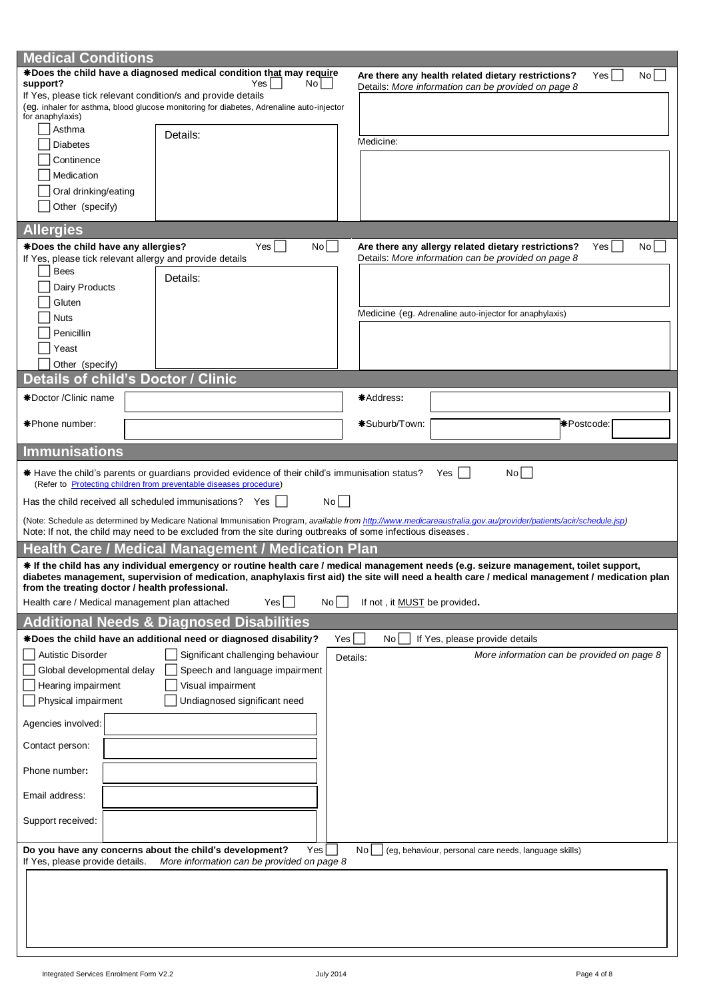| <b>Medical Conditions</b>                                                                                                                                |                                                                                                                                                                  |                               |                                                         |                    |
|----------------------------------------------------------------------------------------------------------------------------------------------------------|------------------------------------------------------------------------------------------------------------------------------------------------------------------|-------------------------------|---------------------------------------------------------|--------------------|
|                                                                                                                                                          | *Does the child have a diagnosed medical condition that may require                                                                                              |                               | Are there any health related dietary restrictions?      | Yes  <br>No        |
| support?                                                                                                                                                 | No    <br>Yes                                                                                                                                                    |                               | Details: More information can be provided on page 8     |                    |
| If Yes, please tick relevant condition/s and provide details<br>(eg. inhaler for asthma, blood glucose monitoring for diabetes, Adrenaline auto-injector |                                                                                                                                                                  |                               |                                                         |                    |
| for anaphylaxis)                                                                                                                                         |                                                                                                                                                                  |                               |                                                         |                    |
| Asthma                                                                                                                                                   | Details:                                                                                                                                                         |                               |                                                         |                    |
| <b>Diabetes</b>                                                                                                                                          |                                                                                                                                                                  | Medicine:                     |                                                         |                    |
| Continence                                                                                                                                               |                                                                                                                                                                  |                               |                                                         |                    |
| Medication                                                                                                                                               |                                                                                                                                                                  |                               |                                                         |                    |
| Oral drinking/eating                                                                                                                                     |                                                                                                                                                                  |                               |                                                         |                    |
| Other (specify)                                                                                                                                          |                                                                                                                                                                  |                               |                                                         |                    |
|                                                                                                                                                          |                                                                                                                                                                  |                               |                                                         |                    |
| <b>Allergies</b>                                                                                                                                         |                                                                                                                                                                  |                               |                                                         |                    |
| *Does the child have any allergies?                                                                                                                      | Yes  <br>No                                                                                                                                                      |                               | Are there any allergy related dietary restrictions?     | No<br>Yesl         |
| If Yes, please tick relevant allergy and provide details                                                                                                 |                                                                                                                                                                  |                               | Details: More information can be provided on page 8     |                    |
| <b>Bees</b>                                                                                                                                              | Details:                                                                                                                                                         |                               |                                                         |                    |
| Dairy Products                                                                                                                                           |                                                                                                                                                                  |                               |                                                         |                    |
| Gluten                                                                                                                                                   |                                                                                                                                                                  |                               |                                                         |                    |
| <b>Nuts</b>                                                                                                                                              |                                                                                                                                                                  |                               | Medicine (eg. Adrenaline auto-injector for anaphylaxis) |                    |
| Penicillin                                                                                                                                               |                                                                                                                                                                  |                               |                                                         |                    |
| Yeast                                                                                                                                                    |                                                                                                                                                                  |                               |                                                         |                    |
|                                                                                                                                                          |                                                                                                                                                                  |                               |                                                         |                    |
| Other (specify)                                                                                                                                          |                                                                                                                                                                  |                               |                                                         |                    |
| Details of child's Doctor / Clinic                                                                                                                       |                                                                                                                                                                  |                               |                                                         |                    |
| *Doctor / Clinic name                                                                                                                                    |                                                                                                                                                                  | *Address:                     |                                                         |                    |
|                                                                                                                                                          |                                                                                                                                                                  |                               |                                                         |                    |
| *Phone number:                                                                                                                                           |                                                                                                                                                                  | *Suburb/Town:                 |                                                         | <b>*</b> Postcode: |
|                                                                                                                                                          |                                                                                                                                                                  |                               |                                                         |                    |
| <b>Immunisations</b>                                                                                                                                     |                                                                                                                                                                  |                               |                                                         |                    |
|                                                                                                                                                          | * Have the child's parents or guardians provided evidence of their child's immunisation status?                                                                  |                               | No<br>Yes                                               |                    |
|                                                                                                                                                          | (Refer to Protecting children from preventable diseases procedure)                                                                                               |                               |                                                         |                    |
|                                                                                                                                                          |                                                                                                                                                                  |                               |                                                         |                    |
|                                                                                                                                                          |                                                                                                                                                                  |                               |                                                         |                    |
| Has the child received all scheduled immunisations? Yes                                                                                                  | $No$                                                                                                                                                             |                               |                                                         |                    |
|                                                                                                                                                          | (Note: Schedule as determined by Medicare National Immunisation Program, available from http://www.medicareaustralia.gov.au/provider/patients/acir/schedule.jsp) |                               |                                                         |                    |
|                                                                                                                                                          | Note: If not, the child may need to be excluded from the site during outbreaks of some infectious diseases.                                                      |                               |                                                         |                    |
|                                                                                                                                                          | <b>Health Care / Medical Management / Medication Plan</b>                                                                                                        |                               |                                                         |                    |
|                                                                                                                                                          | * If the child has any individual emergency or routine health care / medical management needs (e.g. seizure management, toilet support,                          |                               |                                                         |                    |
|                                                                                                                                                          | diabetes management, supervision of medication, anaphylaxis first aid) the site will need a health care / medical management / medication plan                   |                               |                                                         |                    |
| from the treating doctor / health professional.                                                                                                          | Yes                                                                                                                                                              |                               |                                                         |                    |
| Health care / Medical management plan attached                                                                                                           | No                                                                                                                                                               | If not, it MUST be provided.  |                                                         |                    |
|                                                                                                                                                          | <b>Additional Needs &amp; Diagnosed Disabilities</b>                                                                                                             |                               |                                                         |                    |
|                                                                                                                                                          | *Does the child have an additional need or diagnosed disability?                                                                                                 | $Yes \mid$<br>No <sub>1</sub> | If Yes, please provide details                          |                    |
| <b>Autistic Disorder</b>                                                                                                                                 | Significant challenging behaviour                                                                                                                                | Details:                      | More information can be provided on page 8              |                    |
| Global developmental delay                                                                                                                               | Speech and language impairment                                                                                                                                   |                               |                                                         |                    |
|                                                                                                                                                          | Visual impairment                                                                                                                                                |                               |                                                         |                    |
| Hearing impairment                                                                                                                                       |                                                                                                                                                                  |                               |                                                         |                    |
| Physical impairment                                                                                                                                      | Undiagnosed significant need                                                                                                                                     |                               |                                                         |                    |
| Agencies involved:                                                                                                                                       |                                                                                                                                                                  |                               |                                                         |                    |
|                                                                                                                                                          |                                                                                                                                                                  |                               |                                                         |                    |
| Contact person:                                                                                                                                          |                                                                                                                                                                  |                               |                                                         |                    |
| Phone number:                                                                                                                                            |                                                                                                                                                                  |                               |                                                         |                    |
|                                                                                                                                                          |                                                                                                                                                                  |                               |                                                         |                    |
| Email address:                                                                                                                                           |                                                                                                                                                                  |                               |                                                         |                    |
|                                                                                                                                                          |                                                                                                                                                                  |                               |                                                         |                    |
| Support received:                                                                                                                                        |                                                                                                                                                                  |                               |                                                         |                    |
|                                                                                                                                                          |                                                                                                                                                                  |                               |                                                         |                    |
|                                                                                                                                                          | Do you have any concerns about the child's development?<br>Yes                                                                                                   | No l                          | (eg, behaviour, personal care needs, language skills)   |                    |
| If Yes, please provide details.                                                                                                                          | More information can be provided on page 8                                                                                                                       |                               |                                                         |                    |
|                                                                                                                                                          |                                                                                                                                                                  |                               |                                                         |                    |
|                                                                                                                                                          |                                                                                                                                                                  |                               |                                                         |                    |
|                                                                                                                                                          |                                                                                                                                                                  |                               |                                                         |                    |
|                                                                                                                                                          |                                                                                                                                                                  |                               |                                                         |                    |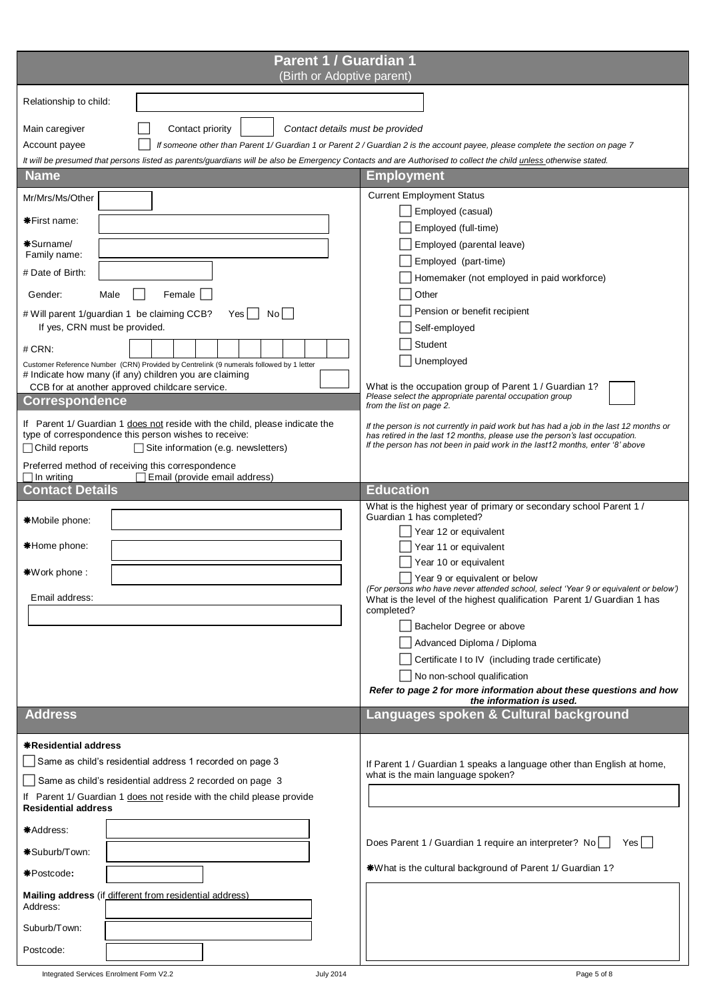| Parent 1 / Guardian 1<br>(Birth or Adoptive parent)                                                                                                                                                                                                                                                                                                                                                                                                                                                                                                                                                                                                                    |                                                                                                                                                                                                                                                                                                                                                                                                                                                                                                                                                                                                                                                                                |
|------------------------------------------------------------------------------------------------------------------------------------------------------------------------------------------------------------------------------------------------------------------------------------------------------------------------------------------------------------------------------------------------------------------------------------------------------------------------------------------------------------------------------------------------------------------------------------------------------------------------------------------------------------------------|--------------------------------------------------------------------------------------------------------------------------------------------------------------------------------------------------------------------------------------------------------------------------------------------------------------------------------------------------------------------------------------------------------------------------------------------------------------------------------------------------------------------------------------------------------------------------------------------------------------------------------------------------------------------------------|
| Relationship to child:                                                                                                                                                                                                                                                                                                                                                                                                                                                                                                                                                                                                                                                 |                                                                                                                                                                                                                                                                                                                                                                                                                                                                                                                                                                                                                                                                                |
| Main caregiver<br>Contact priority<br>Contact details must be provided<br>Account payee<br>It will be presumed that persons listed as parents/guardians will be also be Emergency Contacts and are Authorised to collect the child unless otherwise stated.                                                                                                                                                                                                                                                                                                                                                                                                            | If someone other than Parent 1/ Guardian 1 or Parent 2 / Guardian 2 is the account payee, please complete the section on page 7                                                                                                                                                                                                                                                                                                                                                                                                                                                                                                                                                |
| <b>Name</b>                                                                                                                                                                                                                                                                                                                                                                                                                                                                                                                                                                                                                                                            | <b>Employment</b>                                                                                                                                                                                                                                                                                                                                                                                                                                                                                                                                                                                                                                                              |
| Mr/Mrs/Ms/Other<br><b>*First name:</b><br>*Surname/<br>Family name:<br># Date of Birth:<br>Female<br>Gender:<br>Male<br># Will parent 1/guardian 1 be claiming CCB?<br>No l<br>Yes<br>If yes, CRN must be provided.<br># CRN:<br>Customer Reference Number (CRN) Provided by Centrelink (9 numerals followed by 1 letter<br># Indicate how many (if any) children you are claiming<br>CCB for at another approved childcare service.<br><b>Correspondence</b><br>If Parent 1/ Guardian 1 does not reside with the child, please indicate the<br>type of correspondence this person wishes to receive:<br>□ Child reports<br>$\Box$ Site information (e.g. newsletters) | <b>Current Employment Status</b><br>Employed (casual)<br>Employed (full-time)<br>Employed (parental leave)<br>Employed (part-time)<br>Homemaker (not employed in paid workforce)<br>Other<br>Pension or benefit recipient<br>Self-employed<br>Student<br>Unemployed<br>What is the occupation group of Parent 1 / Guardian 1?<br>Please select the appropriate parental occupation group<br>from the list on page 2.<br>If the person is not currently in paid work but has had a job in the last 12 months or<br>has retired in the last 12 months, please use the person's last occupation.<br>If the person has not been in paid work in the last12 months, enter '8' above |
| Preferred method of receiving this correspondence<br>$\Box$ In writing<br>Email (provide email address)                                                                                                                                                                                                                                                                                                                                                                                                                                                                                                                                                                |                                                                                                                                                                                                                                                                                                                                                                                                                                                                                                                                                                                                                                                                                |
| <b>Contact Details</b>                                                                                                                                                                                                                                                                                                                                                                                                                                                                                                                                                                                                                                                 | <b>Education</b>                                                                                                                                                                                                                                                                                                                                                                                                                                                                                                                                                                                                                                                               |
| *Mobile phone:<br>*Home phone:<br>*Work phone :<br>Email address:                                                                                                                                                                                                                                                                                                                                                                                                                                                                                                                                                                                                      | What is the highest year of primary or secondary school Parent 1 /<br>Guardian 1 has completed?<br>Year 12 or equivalent<br>Year 11 or equivalent<br>Year 10 or equivalent<br>Year 9 or equivalent or below<br>(For persons who have never attended school, select 'Year 9 or equivalent or below')<br>What is the level of the highest qualification Parent 1/ Guardian 1 has<br>completed?<br>Bachelor Degree or above<br>Advanced Diploma / Diploma<br>Certificate I to IV (including trade certificate)<br>No non-school qualification<br>Refer to page 2 for more information about these questions and how<br>the information is used.                                   |
| <b>Address</b>                                                                                                                                                                                                                                                                                                                                                                                                                                                                                                                                                                                                                                                         | Languages spoken & Cultural background                                                                                                                                                                                                                                                                                                                                                                                                                                                                                                                                                                                                                                         |
| <b>*Residential address</b><br>Same as child's residential address 1 recorded on page 3<br>Same as child's residential address 2 recorded on page 3<br>If Parent 1/ Guardian 1 does not reside with the child please provide<br><b>Residential address</b><br>*Address:<br>*Suburb/Town:<br>*Postcode:<br>Mailing address (if different from residential address)<br>Address:                                                                                                                                                                                                                                                                                          | If Parent 1 / Guardian 1 speaks a language other than English at home,<br>what is the main language spoken?<br>Does Parent 1 / Guardian 1 require an interpreter? No<br>Yes    <br>*What is the cultural background of Parent 1/ Guardian 1?                                                                                                                                                                                                                                                                                                                                                                                                                                   |
| Suburb/Town:                                                                                                                                                                                                                                                                                                                                                                                                                                                                                                                                                                                                                                                           |                                                                                                                                                                                                                                                                                                                                                                                                                                                                                                                                                                                                                                                                                |
| Postcode:                                                                                                                                                                                                                                                                                                                                                                                                                                                                                                                                                                                                                                                              |                                                                                                                                                                                                                                                                                                                                                                                                                                                                                                                                                                                                                                                                                |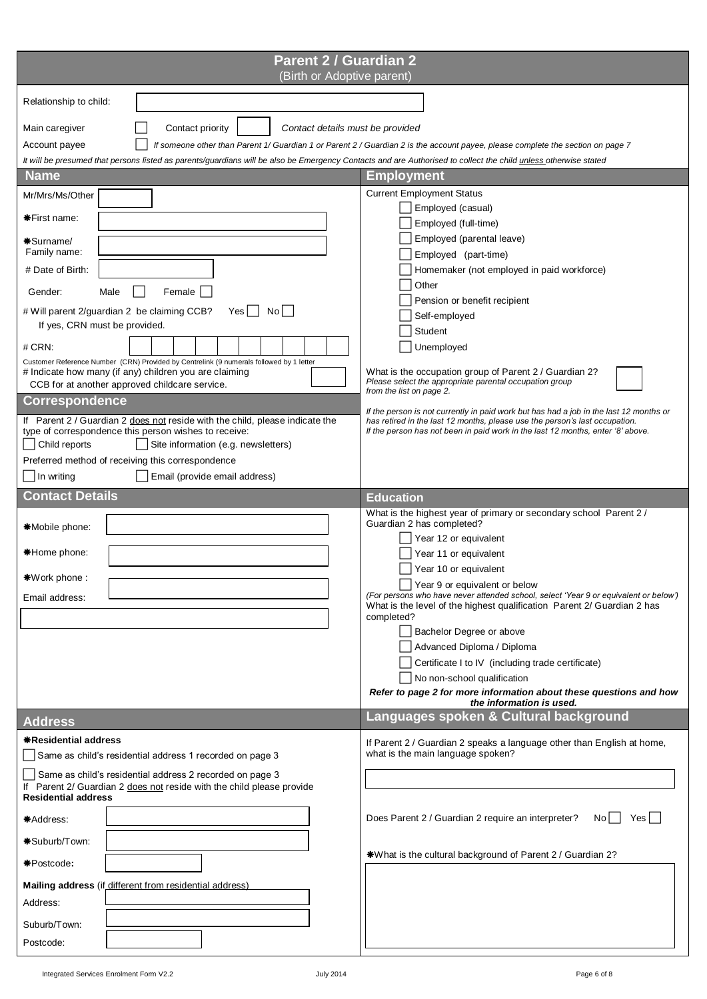| <b>Parent 2 / Guardian 2</b><br>(Birth or Adoptive parent)                                                                                                                                                                                                                                                                                                                                                                                                                                                                                     |                                                                                                                                                                                                                                                                                                                                                                                                                                                                                                                                                                                                                                             |
|------------------------------------------------------------------------------------------------------------------------------------------------------------------------------------------------------------------------------------------------------------------------------------------------------------------------------------------------------------------------------------------------------------------------------------------------------------------------------------------------------------------------------------------------|---------------------------------------------------------------------------------------------------------------------------------------------------------------------------------------------------------------------------------------------------------------------------------------------------------------------------------------------------------------------------------------------------------------------------------------------------------------------------------------------------------------------------------------------------------------------------------------------------------------------------------------------|
| Relationship to child:                                                                                                                                                                                                                                                                                                                                                                                                                                                                                                                         |                                                                                                                                                                                                                                                                                                                                                                                                                                                                                                                                                                                                                                             |
| Main caregiver<br>Contact priority<br>Contact details must be provided<br>Account payee<br>It will be presumed that persons listed as parents/guardians will be also be Emergency Contacts and are Authorised to collect the child unless otherwise stated                                                                                                                                                                                                                                                                                     | If someone other than Parent 1/ Guardian 1 or Parent 2 / Guardian 2 is the account payee, please complete the section on page 7                                                                                                                                                                                                                                                                                                                                                                                                                                                                                                             |
| <b>Name</b>                                                                                                                                                                                                                                                                                                                                                                                                                                                                                                                                    | Employment                                                                                                                                                                                                                                                                                                                                                                                                                                                                                                                                                                                                                                  |
| Mr/Mrs/Ms/Other<br><b>*First name:</b><br>*Surname/<br>Family name:<br># Date of Birth:<br>Gender:<br>Male<br>Female<br># Will parent 2/guardian 2 be claiming CCB?<br>Yes<br>Nol I<br>If yes, CRN must be provided.<br># CRN:<br>Customer Reference Number (CRN) Provided by Centrelink (9 numerals followed by 1 letter<br># Indicate how many (if any) children you are claiming<br>CCB for at another approved childcare service.<br><b>Correspondence</b><br>If Parent 2 / Guardian 2 does not reside with the child, please indicate the | <b>Current Employment Status</b><br>Employed (casual)<br>Employed (full-time)<br>Employed (parental leave)<br>Employed (part-time)<br>Homemaker (not employed in paid workforce)<br>Other<br>Pension or benefit recipient<br>Self-employed<br>Student<br>Unemployed<br>What is the occupation group of Parent 2 / Guardian 2?<br>Please select the appropriate parental occupation group<br>from the list on page 2.<br>If the person is not currently in paid work but has had a job in the last 12 months or<br>has retired in the last 12 months, please use the person's last occupation.                                               |
| type of correspondence this person wishes to receive:<br>Child reports<br>Site information (e.g. newsletters)                                                                                                                                                                                                                                                                                                                                                                                                                                  | If the person has not been in paid work in the last 12 months, enter '8' above.                                                                                                                                                                                                                                                                                                                                                                                                                                                                                                                                                             |
| Preferred method of receiving this correspondence                                                                                                                                                                                                                                                                                                                                                                                                                                                                                              |                                                                                                                                                                                                                                                                                                                                                                                                                                                                                                                                                                                                                                             |
| Email (provide email address)<br>  In writing                                                                                                                                                                                                                                                                                                                                                                                                                                                                                                  |                                                                                                                                                                                                                                                                                                                                                                                                                                                                                                                                                                                                                                             |
| <b>Contact Details</b>                                                                                                                                                                                                                                                                                                                                                                                                                                                                                                                         | <b>Education</b>                                                                                                                                                                                                                                                                                                                                                                                                                                                                                                                                                                                                                            |
| *Mobile phone:<br>*Home phone:<br>*Work phone:<br>Email address:                                                                                                                                                                                                                                                                                                                                                                                                                                                                               | What is the highest year of primary or secondary school Parent 2/<br>Guardian 2 has completed?<br>Year 12 or equivalent<br>Year 11 or equivalent<br>Year 10 or equivalent<br>Year 9 or equivalent or below<br>(For persons who have never attended school, select 'Year 9 or equivalent or below')<br>What is the level of the highest qualification Parent 2/ Guardian 2 has<br>completed?<br>Bachelor Degree or above<br>Advanced Diploma / Diploma<br>Certificate I to IV (including trade certificate)<br>No non-school qualification<br>Refer to page 2 for more information about these questions and how<br>the information is used. |
| <b>Address</b>                                                                                                                                                                                                                                                                                                                                                                                                                                                                                                                                 | Languages spoken & Cultural background                                                                                                                                                                                                                                                                                                                                                                                                                                                                                                                                                                                                      |
| <b>*Residential address</b><br>Same as child's residential address 1 recorded on page 3<br>Same as child's residential address 2 recorded on page 3<br>If Parent 2/ Guardian 2 does not reside with the child please provide<br><b>Residential address</b>                                                                                                                                                                                                                                                                                     | If Parent 2 / Guardian 2 speaks a language other than English at home,<br>what is the main language spoken?                                                                                                                                                                                                                                                                                                                                                                                                                                                                                                                                 |
| *Address:                                                                                                                                                                                                                                                                                                                                                                                                                                                                                                                                      | Does Parent 2 / Guardian 2 require an interpreter?<br>Yesl<br>No l                                                                                                                                                                                                                                                                                                                                                                                                                                                                                                                                                                          |
| *Suburb/Town:                                                                                                                                                                                                                                                                                                                                                                                                                                                                                                                                  | *What is the cultural background of Parent 2 / Guardian 2?                                                                                                                                                                                                                                                                                                                                                                                                                                                                                                                                                                                  |
| *Postcode:<br>Mailing address (if different from residential address)<br>Address:<br>Suburb/Town:<br>Postcode:                                                                                                                                                                                                                                                                                                                                                                                                                                 |                                                                                                                                                                                                                                                                                                                                                                                                                                                                                                                                                                                                                                             |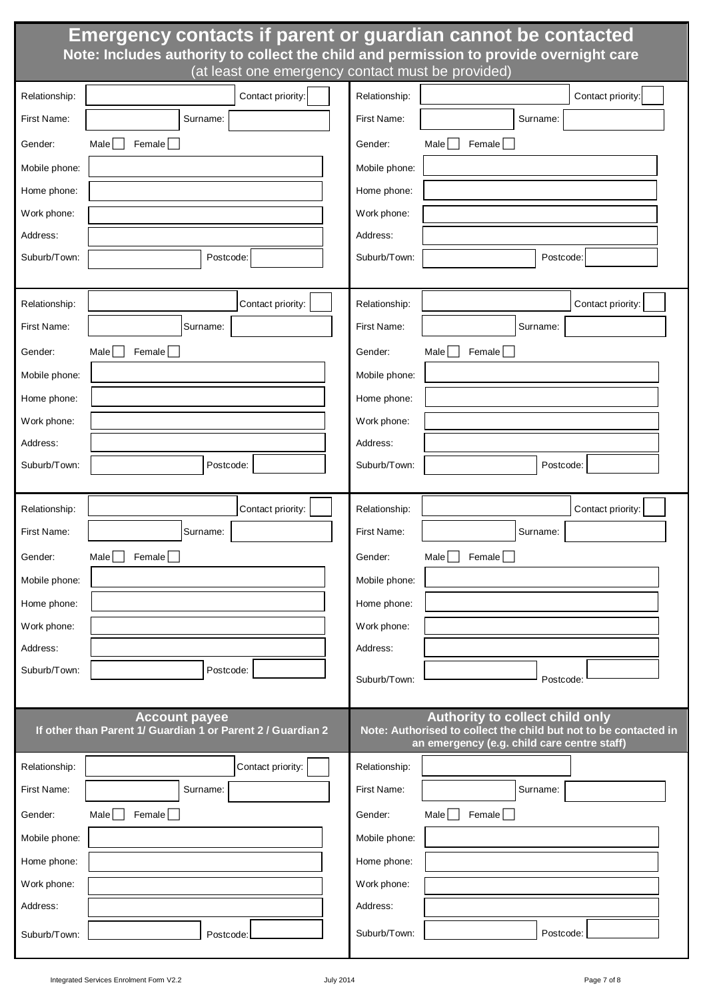|               | Emergency contacts if parent or guardian cannot be contacted<br>Note: Includes authority to collect the child and permission to provide overnight care<br>(at least one emergency contact must be provided) |               |                                                                                                                                                    |
|---------------|-------------------------------------------------------------------------------------------------------------------------------------------------------------------------------------------------------------|---------------|----------------------------------------------------------------------------------------------------------------------------------------------------|
| Relationship: | Contact priority:                                                                                                                                                                                           | Relationship: | Contact priority:                                                                                                                                  |
| First Name:   | Surname:                                                                                                                                                                                                    | First Name:   | Surname:                                                                                                                                           |
| Gender:       | Male<br>Female                                                                                                                                                                                              | Gender:       | Male<br>Female                                                                                                                                     |
| Mobile phone: |                                                                                                                                                                                                             | Mobile phone: |                                                                                                                                                    |
| Home phone:   |                                                                                                                                                                                                             | Home phone:   |                                                                                                                                                    |
| Work phone:   |                                                                                                                                                                                                             | Work phone:   |                                                                                                                                                    |
| Address:      |                                                                                                                                                                                                             | Address:      |                                                                                                                                                    |
| Suburb/Town:  | Postcode:                                                                                                                                                                                                   | Suburb/Town:  | Postcode:                                                                                                                                          |
|               |                                                                                                                                                                                                             |               |                                                                                                                                                    |
| Relationship: | Contact priority:                                                                                                                                                                                           | Relationship: | Contact priority:                                                                                                                                  |
| First Name:   | Surname:                                                                                                                                                                                                    | First Name:   | Surname:                                                                                                                                           |
| Gender:       | Female<br>Male                                                                                                                                                                                              | Gender:       | Female  <br>Male                                                                                                                                   |
| Mobile phone: |                                                                                                                                                                                                             | Mobile phone: |                                                                                                                                                    |
| Home phone:   |                                                                                                                                                                                                             | Home phone:   |                                                                                                                                                    |
| Work phone:   |                                                                                                                                                                                                             | Work phone:   |                                                                                                                                                    |
| Address:      |                                                                                                                                                                                                             | Address:      |                                                                                                                                                    |
| Suburb/Town:  | Postcode:                                                                                                                                                                                                   | Suburb/Town:  | Postcode:                                                                                                                                          |
|               |                                                                                                                                                                                                             |               |                                                                                                                                                    |
| Relationship: | Contact priority:                                                                                                                                                                                           | Relationship: | Contact priority:                                                                                                                                  |
| First Name:   | Surname:                                                                                                                                                                                                    | First Name:   | Surname:                                                                                                                                           |
| Gender:       | Male $\Box$ Female $\Box$                                                                                                                                                                                   | Gender:       | Male $\Box$ Female $\Box$                                                                                                                          |
| Mobile phone: |                                                                                                                                                                                                             | Mobile phone: |                                                                                                                                                    |
| Home phone:   |                                                                                                                                                                                                             | Home phone:   |                                                                                                                                                    |
| Work phone:   |                                                                                                                                                                                                             | Work phone:   |                                                                                                                                                    |
| Address:      |                                                                                                                                                                                                             | Address:      |                                                                                                                                                    |
| Suburb/Town:  | Postcode:                                                                                                                                                                                                   |               |                                                                                                                                                    |
|               |                                                                                                                                                                                                             | Suburb/Town:  | Postcode:                                                                                                                                          |
|               | <b>Account payee</b><br>If other than Parent 1/ Guardian 1 or Parent 2 / Guardian 2                                                                                                                         |               | Authority to collect child only<br>Note: Authorised to collect the child but not to be contacted in<br>an emergency (e.g. child care centre staff) |
| Relationship: | Contact priority:                                                                                                                                                                                           | Relationship: |                                                                                                                                                    |
| First Name:   | Surname:                                                                                                                                                                                                    | First Name:   | Surname:                                                                                                                                           |
| Gender:       | Female<br>Male                                                                                                                                                                                              | Gender:       | Female<br>Male                                                                                                                                     |
| Mobile phone: |                                                                                                                                                                                                             | Mobile phone: |                                                                                                                                                    |
| Home phone:   |                                                                                                                                                                                                             | Home phone:   |                                                                                                                                                    |
| Work phone:   |                                                                                                                                                                                                             | Work phone:   |                                                                                                                                                    |
| Address:      |                                                                                                                                                                                                             | Address:      |                                                                                                                                                    |